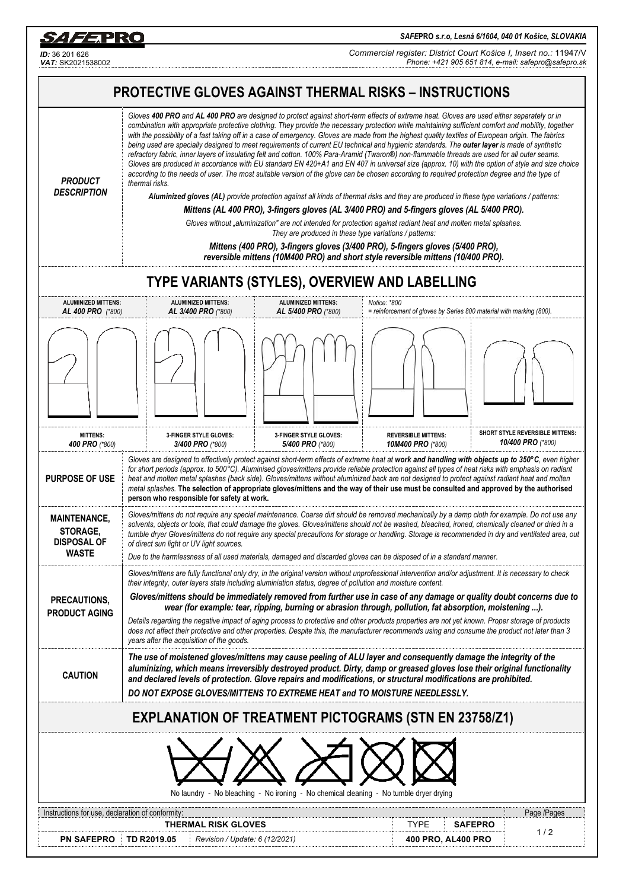*SAFE***PRO** *s.r.o, Lesná 6/1604, 040 01 Košice, SLOVAKIA*

*Commercial register: District Court Košice I, Insert no.:* 11947/V *Phone: +421 905 651 814, e-mail: safepro@safepro.sk*



*ID:* 36 201 626

S*AFE*PRO

 $\overline{a}$